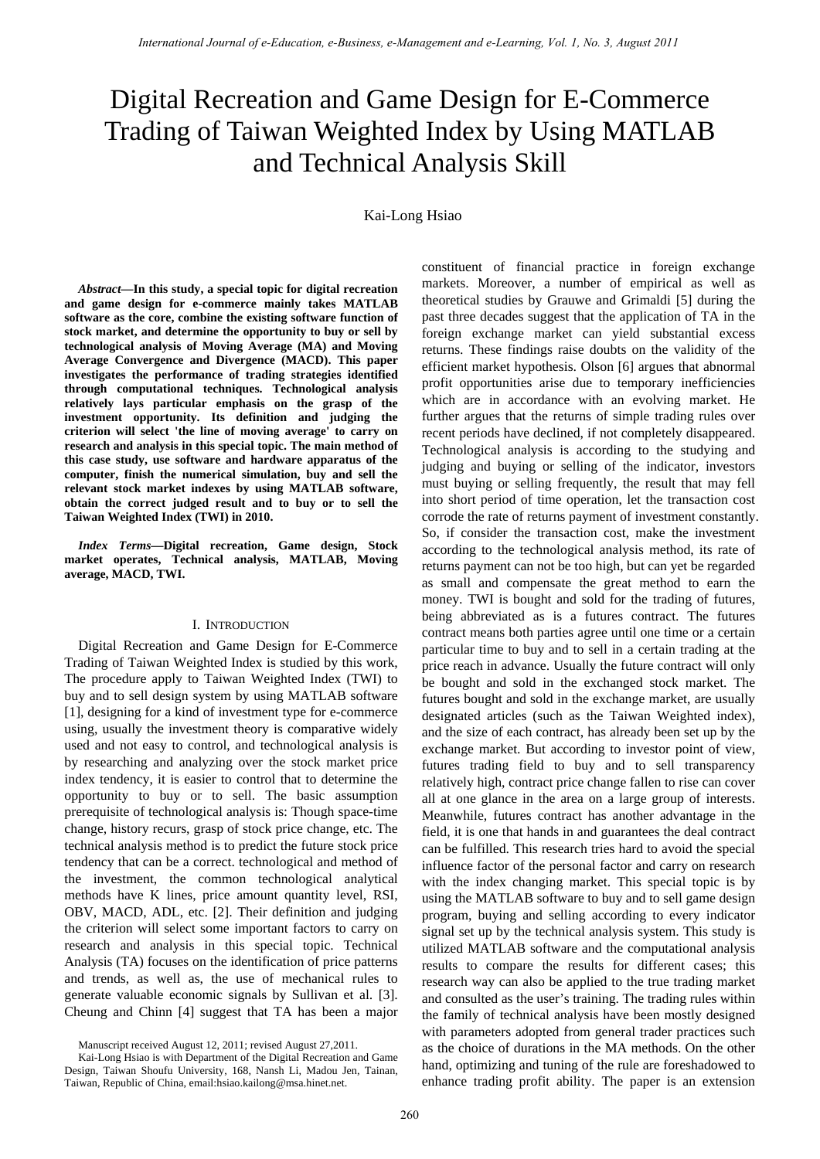# Digital Recreation and Game Design for E-Commerce Trading of Taiwan Weighted Index by Using MATLAB and Technical Analysis Skill

Kai-Long Hsiao

*Abstract—***In this study, a special topic for digital recreation and game design for e-commerce mainly takes MATLAB software as the core, combine the existing software function of stock market, and determine the opportunity to buy or sell by technological analysis of Moving Average (MA) and Moving Average Convergence and Divergence (MACD). This paper investigates the performance of trading strategies identified through computational techniques. Technological analysis relatively lays particular emphasis on the grasp of the investment opportunity. Its definition and judging the criterion will select 'the line of moving average' to carry on research and analysis in this special topic. The main method of this case study, use software and hardware apparatus of the computer, finish the numerical simulation, buy and sell the relevant stock market indexes by using MATLAB software, obtain the correct judged result and to buy or to sell the Taiwan Weighted Index (TWI) in 2010.** 

*Index Terms—***Digital recreation, Game design, Stock market operates, Technical analysis, MATLAB, Moving average, MACD, TWI.** 

#### I. INTRODUCTION

Digital Recreation and Game Design for E-Commerce Trading of Taiwan Weighted Index is studied by this work, The procedure apply to Taiwan Weighted Index (TWI) to buy and to sell design system by using MATLAB software [1], designing for a kind of investment type for e-commerce using, usually the investment theory is comparative widely used and not easy to control, and technological analysis is by researching and analyzing over the stock market price index tendency, it is easier to control that to determine the opportunity to buy or to sell. The basic assumption prerequisite of technological analysis is: Though space-time change, history recurs, grasp of stock price change, etc. The technical analysis method is to predict the future stock price tendency that can be a correct. technological and method of the investment, the common technological analytical methods have K lines, price amount quantity level, RSI, OBV, MACD, ADL, etc. [2]. Their definition and judging the criterion will select some important factors to carry on research and analysis in this special topic. Technical Analysis (TA) focuses on the identification of price patterns and trends, as well as, the use of mechanical rules to generate valuable economic signals by Sullivan et al. [3]. Cheung and Chinn [4] suggest that TA has been a major constituent of financial practice in foreign exchange markets. Moreover, a number of empirical as well as theoretical studies by Grauwe and Grimaldi [5] during the past three decades suggest that the application of TA in the foreign exchange market can yield substantial excess returns. These findings raise doubts on the validity of the efficient market hypothesis. Olson [6] argues that abnormal profit opportunities arise due to temporary inefficiencies which are in accordance with an evolving market. He further argues that the returns of simple trading rules over recent periods have declined, if not completely disappeared. Technological analysis is according to the studying and judging and buying or selling of the indicator, investors must buying or selling frequently, the result that may fell into short period of time operation, let the transaction cost corrode the rate of returns payment of investment constantly. So, if consider the transaction cost, make the investment according to the technological analysis method, its rate of returns payment can not be too high, but can yet be regarded as small and compensate the great method to earn the money. TWI is bought and sold for the trading of futures, being abbreviated as is a futures contract. The futures contract means both parties agree until one time or a certain particular time to buy and to sell in a certain trading at the price reach in advance. Usually the future contract will only be bought and sold in the exchanged stock market. The futures bought and sold in the exchange market, are usually designated articles (such as the Taiwan Weighted index), and the size of each contract, has already been set up by the exchange market. But according to investor point of view, futures trading field to buy and to sell transparency relatively high, contract price change fallen to rise can cover all at one glance in the area on a large group of interests. Meanwhile, futures contract has another advantage in the field, it is one that hands in and guarantees the deal contract can be fulfilled. This research tries hard to avoid the special influence factor of the personal factor and carry on research with the index changing market. This special topic is by using the MATLAB software to buy and to sell game design program, buying and selling according to every indicator signal set up by the technical analysis system. This study is utilized MATLAB software and the computational analysis results to compare the results for different cases; this research way can also be applied to the true trading market and consulted as the user's training. The trading rules within the family of technical analysis have been mostly designed with parameters adopted from general trader practices such as the choice of durations in the MA methods. On the other hand, optimizing and tuning of the rule are foreshadowed to enhance trading profit ability. The paper is an extension

Manuscript received August 12, 2011; revised August 27,2011.

Kai-Long Hsiao is with Department of the Digital Recreation and Game Design, Taiwan Shoufu University, 168, Nansh Li, Madou Jen, Tainan, Taiwan, Republic of China, email:hsiao.kailong@msa.hinet.net.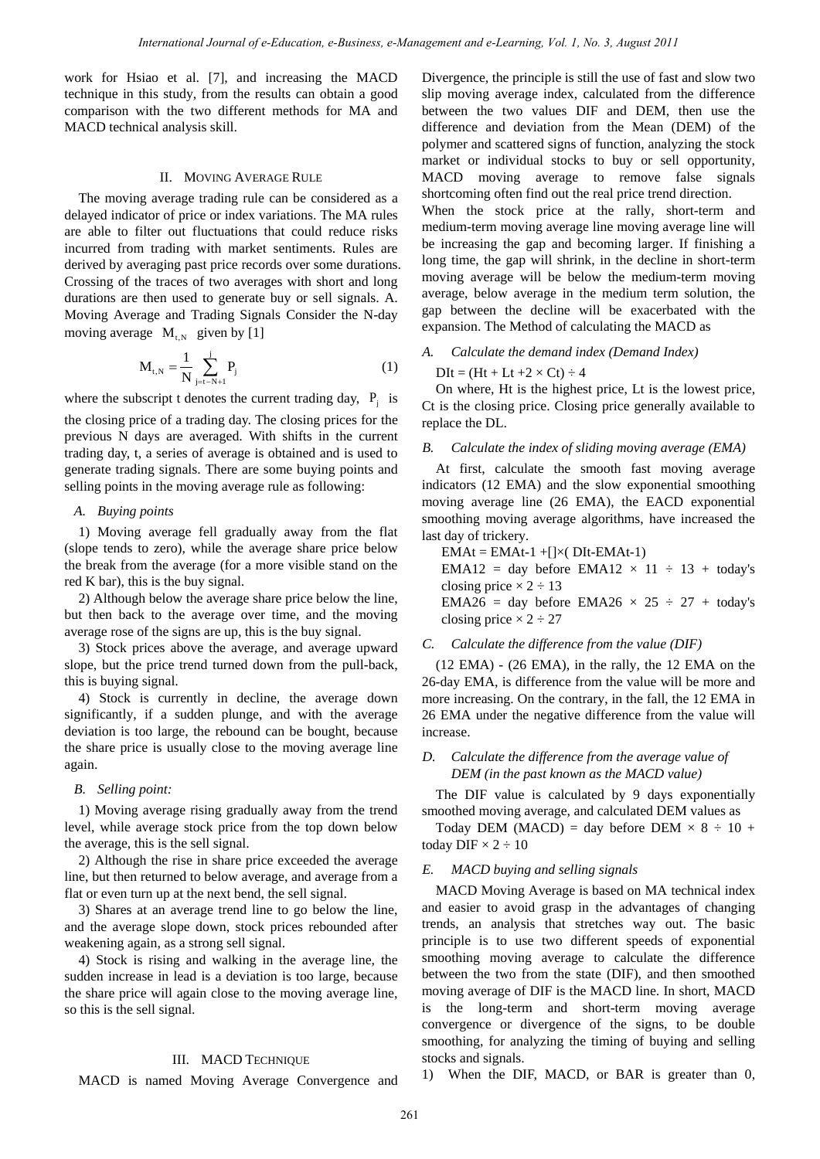work for Hsiao et al. [7], and increasing the MACD technique in this study, from the results can obtain a good comparison with the two different methods for MA and MACD technical analysis skill.

#### II. MOVING AVERAGE RULE

The moving average trading rule can be considered as a delayed indicator of price or index variations. The MA rules are able to filter out fluctuations that could reduce risks incurred from trading with market sentiments. Rules are derived by averaging past price records over some durations. Crossing of the traces of two averages with short and long durations are then used to generate buy or sell signals. A. Moving Average and Trading Signals Consider the N-day moving average  $M_{t,N}$  given by [1]

$$
M_{t,N} = \frac{1}{N} \sum_{j=t-N+1}^{j} P_j
$$
 (1)

where the subscript t denotes the current trading day,  $P_i$  is

the closing price of a trading day. The closing prices for the previous N days are averaged. With shifts in the current trading day, t, a series of average is obtained and is used to generate trading signals. There are some buying points and selling points in the moving average rule as following:

## *A. Buying points*

1) Moving average fell gradually away from the flat (slope tends to zero), while the average share price below the break from the average (for a more visible stand on the red K bar), this is the buy signal.

2) Although below the average share price below the line, but then back to the average over time, and the moving average rose of the signs are up, this is the buy signal.

3) Stock prices above the average, and average upward slope, but the price trend turned down from the pull-back, this is buying signal.

4) Stock is currently in decline, the average down significantly, if a sudden plunge, and with the average deviation is too large, the rebound can be bought, because the share price is usually close to the moving average line again.

## *B. Selling point:*

1) Moving average rising gradually away from the trend level, while average stock price from the top down below the average, this is the sell signal.

2) Although the rise in share price exceeded the average line, but then returned to below average, and average from a flat or even turn up at the next bend, the sell signal.

3) Shares at an average trend line to go below the line, and the average slope down, stock prices rebounded after weakening again, as a strong sell signal.

4) Stock is rising and walking in the average line, the sudden increase in lead is a deviation is too large, because the share price will again close to the moving average line, so this is the sell signal.

#### III. MACD TECHNIQUE

MACD is named Moving Average Convergence and

Divergence, the principle is still the use of fast and slow two slip moving average index, calculated from the difference between the two values DIF and DEM, then use the difference and deviation from the Mean (DEM) of the polymer and scattered signs of function, analyzing the stock market or individual stocks to buy or sell opportunity, MACD moving average to remove false signals shortcoming often find out the real price trend direction.

When the stock price at the rally, short-term and medium-term moving average line moving average line will be increasing the gap and becoming larger. If finishing a long time, the gap will shrink, in the decline in short-term moving average will be below the medium-term moving average, below average in the medium term solution, the gap between the decline will be exacerbated with the expansion. The Method of calculating the MACD as

## *A. Calculate the demand index (Demand Index)*

 $DIt = (Ht + Lt + 2 \times Ct) \div 4$ 

On where, Ht is the highest price, Lt is the lowest price, Ct is the closing price. Closing price generally available to replace the DL.

## *B. Calculate the index of sliding moving average (EMA)*

At first, calculate the smooth fast moving average indicators (12 EMA) and the slow exponential smoothing moving average line (26 EMA), the EACD exponential smoothing moving average algorithms, have increased the last day of trickery.

 $EMAt = EMAt-1 + [] \times DIt-EMAt-1)$ EMA12 = day before EMA12  $\times$  11  $\div$  13 + today's closing price  $\times 2 \div 13$ EMA26 = day before EMA26  $\times$  25  $\div$  27 + today's closing price  $\times 2 \div 27$ 

## *C. Calculate the difference from the value (DIF)*

(12 EMA) - (26 EMA), in the rally, the 12 EMA on the 26-day EMA, is difference from the value will be more and more increasing. On the contrary, in the fall, the 12 EMA in 26 EMA under the negative difference from the value will increase.

## *D. Calculate the difference from the average value of DEM (in the past known as the MACD value)*

The DIF value is calculated by 9 days exponentially smoothed moving average, and calculated DEM values as

Today DEM (MACD) = day before DEM  $\times 8 \div 10 +$ today DIF  $\times 2 \div 10$ 

## *E. MACD buying and selling signals*

MACD Moving Average is based on MA technical index and easier to avoid grasp in the advantages of changing trends, an analysis that stretches way out. The basic principle is to use two different speeds of exponential smoothing moving average to calculate the difference between the two from the state (DIF), and then smoothed moving average of DIF is the MACD line. In short, MACD is the long-term and short-term moving average convergence or divergence of the signs, to be double smoothing, for analyzing the timing of buying and selling stocks and signals.

1) When the DIF, MACD, or BAR is greater than 0,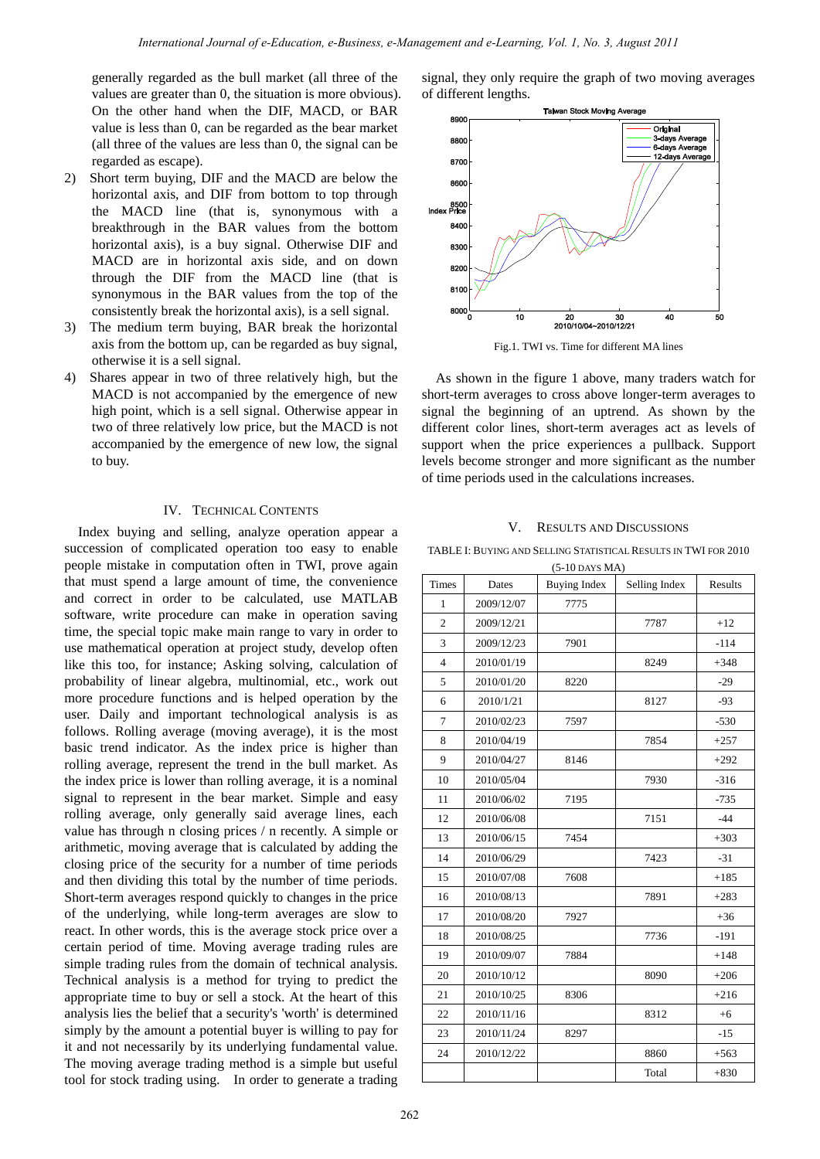generally regarded as the bull market (all three of the values are greater than 0, the situation is more obvious). On the other hand when the DIF, MACD, or BAR value is less than 0, can be regarded as the bear market (all three of the values are less than 0, the signal can be regarded as escape).

- 2) Short term buying, DIF and the MACD are below the horizontal axis, and DIF from bottom to top through the MACD line (that is, synonymous with a breakthrough in the BAR values from the bottom horizontal axis), is a buy signal. Otherwise DIF and MACD are in horizontal axis side, and on down through the DIF from the MACD line (that is synonymous in the BAR values from the top of the consistently break the horizontal axis), is a sell signal.
- 3) The medium term buying, BAR break the horizontal axis from the bottom up, can be regarded as buy signal, otherwise it is a sell signal.
- 4) Shares appear in two of three relatively high, but the MACD is not accompanied by the emergence of new high point, which is a sell signal. Otherwise appear in two of three relatively low price, but the MACD is not accompanied by the emergence of new low, the signal to buy.

## IV. TECHNICAL CONTENTS

Index buying and selling, analyze operation appear a succession of complicated operation too easy to enable people mistake in computation often in TWI, prove again that must spend a large amount of time, the convenience and correct in order to be calculated, use MATLAB software, write procedure can make in operation saving time, the special topic make main range to vary in order to use mathematical operation at project study, develop often like this too, for instance; Asking solving, calculation of probability of linear algebra, multinomial, etc., work out more procedure functions and is helped operation by the user. Daily and important technological analysis is as follows. Rolling average (moving average), it is the most basic trend indicator. As the index price is higher than rolling average, represent the trend in the bull market. As the index price is lower than rolling average, it is a nominal signal to represent in the bear market. Simple and easy rolling average, only generally said average lines, each value has through n closing prices / n recently. A simple or arithmetic, moving average that is calculated by adding the closing price of the security for a number of time periods and then dividing this total by the number of time periods. Short-term averages respond quickly to changes in the price of the underlying, while long-term averages are slow to react. In other words, this is the average stock price over a certain period of time. Moving average trading rules are simple trading rules from the domain of technical analysis. Technical analysis is a method for trying to predict the appropriate time to buy or sell a stock. At the heart of this analysis lies the belief that a security's 'worth' is determined simply by the amount a potential buyer is willing to pay for it and not necessarily by its underlying fundamental value. The moving average trading method is a simple but useful tool for stock trading using. In order to generate a trading

signal, they only require the graph of two moving averages of different lengths.



Fig.1. TWI vs. Time for different MA lines

As shown in the figure 1 above, many traders watch for short-term averages to cross above longer-term averages to signal the beginning of an uptrend. As shown by the different color lines, short-term averages act as levels of support when the price experiences a pullback. Support levels become stronger and more significant as the number of time periods used in the calculations increases.

#### V. RESULTS AND DISCUSSIONS

TABLE I: BUYING AND SELLING STATISTICAL RESULTS IN TWI FOR 2010

| <b>Times</b>   | Dates      | <b>Buying Index</b> | Selling Index | Results |
|----------------|------------|---------------------|---------------|---------|
| 1              | 2009/12/07 | 7775                |               |         |
| $\overline{2}$ | 2009/12/21 |                     | 7787          | $+12$   |
| 3              | 2009/12/23 | 7901                |               | $-114$  |
| $\overline{4}$ | 2010/01/19 |                     | 8249          | $+348$  |
| 5              | 2010/01/20 | 8220                |               | $-29$   |
| 6              | 2010/1/21  |                     | 8127          | $-93$   |
| 7              | 2010/02/23 | 7597                |               | $-530$  |
| 8              | 2010/04/19 |                     | 7854          | $+257$  |
| 9              | 2010/04/27 | 8146                |               | $+292$  |
| 10             | 2010/05/04 |                     | 7930          | $-316$  |
| 11             | 2010/06/02 | 7195                |               | $-735$  |
| 12             | 2010/06/08 |                     | 7151          | $-44$   |
| 13             | 2010/06/15 | 7454                |               | $+303$  |
| 14             | 2010/06/29 |                     | 7423          | $-31$   |
| 15             | 2010/07/08 | 7608                |               | $+185$  |
| 16             | 2010/08/13 |                     | 7891          | $+283$  |
| 17             | 2010/08/20 | 7927                |               | $+36$   |
| 18             | 2010/08/25 |                     | 7736          | $-191$  |
| 19             | 2010/09/07 | 7884                |               | $+148$  |
| 20             | 2010/10/12 |                     | 8090          | $+206$  |
| 21             | 2010/10/25 | 8306                |               | $+216$  |
| 22             | 2010/11/16 |                     | 8312          | $+6$    |
| 23             | 2010/11/24 | 8297                |               | $-15$   |
| 24             | 2010/12/22 |                     | 8860          | $+563$  |
|                |            |                     | Total         | $+830$  |